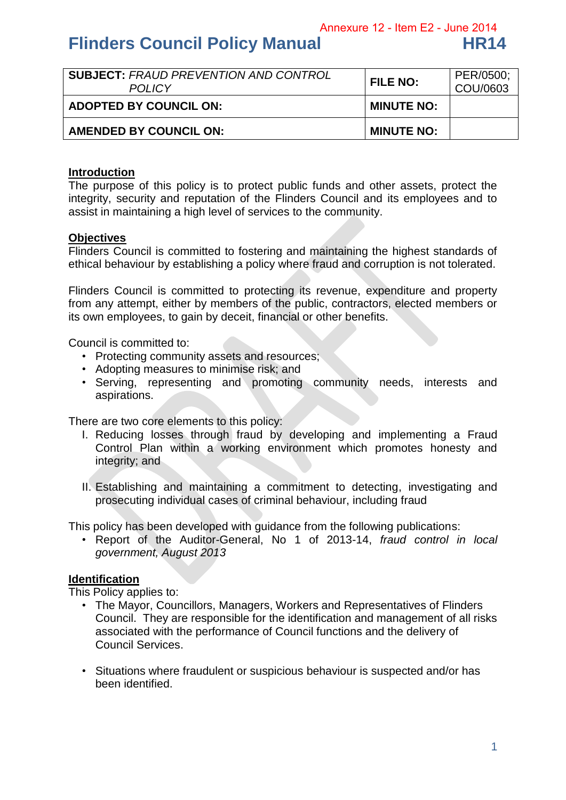Annexure 12 - Item E2 - June 2014

# **Flinders Council Policy Manual HR14**

| <b>SUBJECT: FRAUD PREVENTION AND CONTROL</b><br><b>POLICY</b> | <b>FILE NO:</b>   | PER/0500;<br>COU/0603 |
|---------------------------------------------------------------|-------------------|-----------------------|
| <b>ADOPTED BY COUNCIL ON:</b>                                 | <b>MINUTE NO:</b> |                       |
| AMENDED BY COUNCIL ON:                                        | <b>MINUTE NO:</b> |                       |

#### **Introduction**

The purpose of this policy is to protect public funds and other assets, protect the integrity, security and reputation of the Flinders Council and its employees and to assist in maintaining a high level of services to the community.

#### **Objectives**

Flinders Council is committed to fostering and maintaining the highest standards of ethical behaviour by establishing a policy where fraud and corruption is not tolerated.

Flinders Council is committed to protecting its revenue, expenditure and property from any attempt, either by members of the public, contractors, elected members or its own employees, to gain by deceit, financial or other benefits.

Council is committed to:

- Protecting community assets and resources;
- Adopting measures to minimise risk; and
- Serving, representing and promoting community needs, interests and aspirations.

There are two core elements to this policy:

- I. Reducing losses through fraud by developing and implementing a Fraud Control Plan within a working environment which promotes honesty and integrity; and
- II. Establishing and maintaining a commitment to detecting, investigating and prosecuting individual cases of criminal behaviour, including fraud

This policy has been developed with guidance from the following publications:

• Report of the Auditor-General, No 1 of 2013-14, *fraud control in local government, August 2013* 

#### **Identification**

This Policy applies to:

- The Mayor, Councillors, Managers, Workers and Representatives of Flinders Council. They are responsible for the identification and management of all risks associated with the performance of Council functions and the delivery of Council Services.
- Situations where fraudulent or suspicious behaviour is suspected and/or has been identified.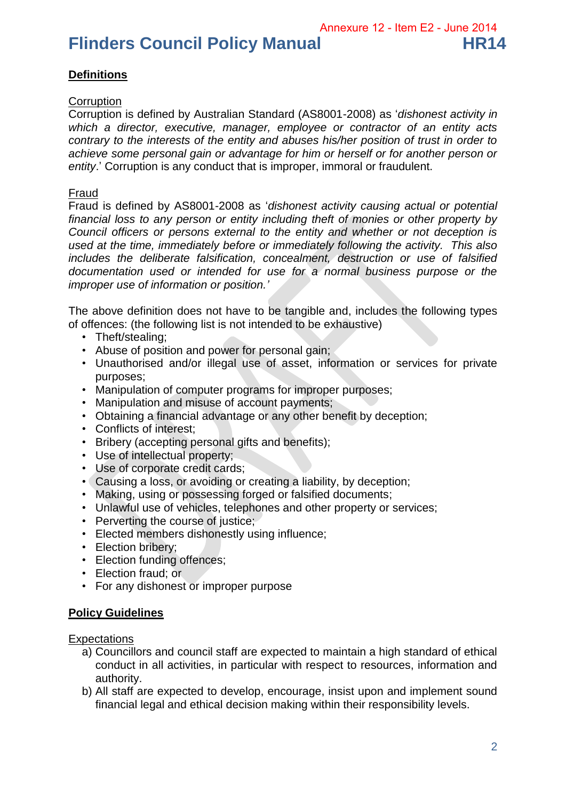Annexure 12 - Item E2 - June 2014

# **Flinders Council Policy Manual HR14**

# **Definitions**

## **Corruption**

Corruption is defined by Australian Standard (AS8001-2008) as '*dishonest activity in which a director, executive, manager, employee or contractor of an entity acts contrary to the interests of the entity and abuses his/her position of trust in order to achieve some personal gain or advantage for him or herself or for another person or entity*.' Corruption is any conduct that is improper, immoral or fraudulent.

### Fraud

Fraud is defined by AS8001-2008 as '*dishonest activity causing actual or potential financial loss to any person or entity including theft of monies or other property by Council officers or persons external to the entity and whether or not deception is used at the time, immediately before or immediately following the activity. This also includes the deliberate falsification, concealment, destruction or use of falsified documentation used or intended for use for a normal business purpose or the improper use of information or position.'* 

The above definition does not have to be tangible and, includes the following types of offences: (the following list is not intended to be exhaustive)

- Theft/stealing:
- Abuse of position and power for personal gain;
- Unauthorised and/or illegal use of asset, information or services for private purposes;
- Manipulation of computer programs for improper purposes;
- Manipulation and misuse of account payments;
- Obtaining a financial advantage or any other benefit by deception;
- Conflicts of interest;
- Bribery (accepting personal gifts and benefits);
- Use of intellectual property;
- Use of corporate credit cards;
- Causing a loss, or avoiding or creating a liability, by deception;
- Making, using or possessing forged or falsified documents;
- Unlawful use of vehicles, telephones and other property or services;
- Perverting the course of justice;
- Elected members dishonestly using influence;
- Election bribery;
- Election funding offences;
- Election fraud; or
- For any dishonest or improper purpose

## **Policy Guidelines**

**Expectations** 

- a) Councillors and council staff are expected to maintain a high standard of ethical conduct in all activities, in particular with respect to resources, information and authority.
- b) All staff are expected to develop, encourage, insist upon and implement sound financial legal and ethical decision making within their responsibility levels.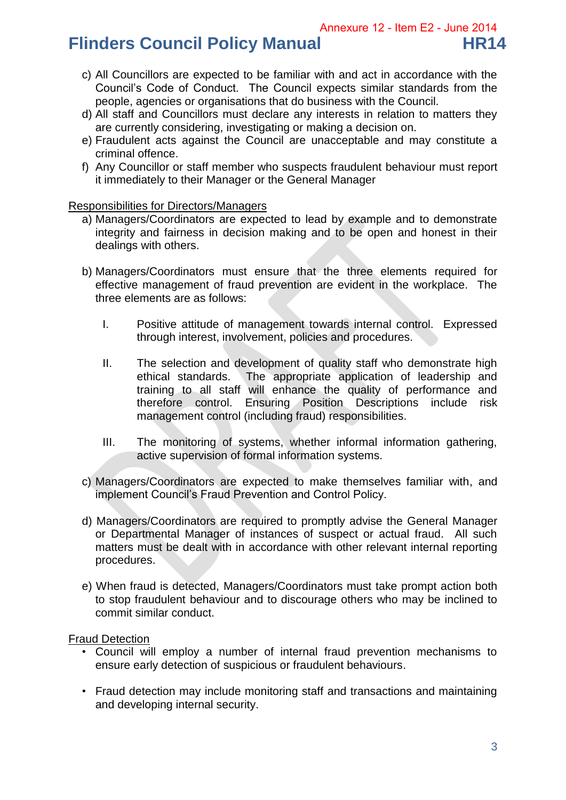# **Flinders Council Policy Manual HR14**

- c) All Councillors are expected to be familiar with and act in accordance with the Council's Code of Conduct. The Council expects similar standards from the people, agencies or organisations that do business with the Council.
- d) All staff and Councillors must declare any interests in relation to matters they are currently considering, investigating or making a decision on.
- e) Fraudulent acts against the Council are unacceptable and may constitute a criminal offence.
- f) Any Councillor or staff member who suspects fraudulent behaviour must report it immediately to their Manager or the General Manager

Responsibilities for Directors/Managers

- a) Managers/Coordinators are expected to lead by example and to demonstrate integrity and fairness in decision making and to be open and honest in their dealings with others.
- b) Managers/Coordinators must ensure that the three elements required for effective management of fraud prevention are evident in the workplace. The three elements are as follows:
	- I. Positive attitude of management towards internal control. Expressed through interest, involvement, policies and procedures.
	- II. The selection and development of quality staff who demonstrate high ethical standards. The appropriate application of leadership and training to all staff will enhance the quality of performance and therefore control. Ensuring Position Descriptions include risk management control (including fraud) responsibilities.
	- III. The monitoring of systems, whether informal information gathering, active supervision of formal information systems.
- c) Managers/Coordinators are expected to make themselves familiar with, and implement Council's Fraud Prevention and Control Policy.
- d) Managers/Coordinators are required to promptly advise the General Manager or Departmental Manager of instances of suspect or actual fraud. All such matters must be dealt with in accordance with other relevant internal reporting procedures.
- e) When fraud is detected, Managers/Coordinators must take prompt action both to stop fraudulent behaviour and to discourage others who may be inclined to commit similar conduct.

#### Fraud Detection

- Council will employ a number of internal fraud prevention mechanisms to ensure early detection of suspicious or fraudulent behaviours.
- Fraud detection may include monitoring staff and transactions and maintaining and developing internal security.